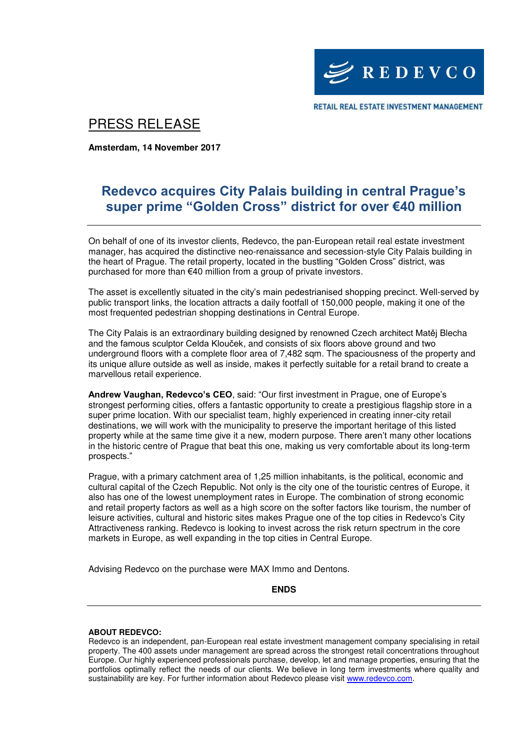

RETAIL REAL ESTATE INVESTMENT MANAGEMENT

## PRESS RELEASE

**Amsterdam, 14 November 2017** 

## **Redevco acquires City Palais building in central Prague's super prime "Golden Cross" district for over €40 million**

On behalf of one of its investor clients, Redevco, the pan-European retail real estate investment manager, has acquired the distinctive neo-renaissance and secession-style City Palais building in the heart of Prague. The retail property, located in the bustling "Golden Cross" district, was purchased for more than €40 million from a group of private investors.

The asset is excellently situated in the city's main pedestrianised shopping precinct. Well-served by public transport links, the location attracts a daily footfall of 150,000 people, making it one of the most frequented pedestrian shopping destinations in Central Europe.

The City Palais is an extraordinary building designed by renowned Czech architect Matěj Blecha and the famous sculptor Celda Klouček, and consists of six floors above ground and two underground floors with a complete floor area of 7,482 sqm. The spaciousness of the property and its unique allure outside as well as inside, makes it perfectly suitable for a retail brand to create a marvellous retail experience.

**Andrew Vaughan, Redevco's CEO**, said: "Our first investment in Prague, one of Europe's strongest performing cities, offers a fantastic opportunity to create a prestigious flagship store in a super prime location. With our specialist team, highly experienced in creating inner-city retail destinations, we will work with the municipality to preserve the important heritage of this listed property while at the same time give it a new, modern purpose. There aren't many other locations in the historic centre of Prague that beat this one, making us very comfortable about its long-term prospects."

Prague, with a primary catchment area of 1,25 million inhabitants, is the political, economic and cultural capital of the Czech Republic. Not only is the city one of the touristic centres of Europe, it also has one of the lowest unemployment rates in Europe. The combination of strong economic and retail property factors as well as a high score on the softer factors like tourism, the number of leisure activities, cultural and historic sites makes Prague one of the top cities in Redevco's City Attractiveness ranking. Redevco is looking to invest across the risk return spectrum in the core markets in Europe, as well expanding in the top cities in Central Europe.

Advising Redevco on the purchase were MAX Immo and Dentons.

**ENDS** 

## **ABOUT REDEVCO:**

Redevco is an independent, pan-European real estate investment management company specialising in retail property. The 400 assets under management are spread across the strongest retail concentrations throughout Europe. Our highly experienced professionals purchase, develop, let and manage properties, ensuring that the portfolios optimally reflect the needs of our clients. We believe in long term investments where quality and sustainability are key. For further information about Redevco please visit [www.redevco.com.](http://www.redevco.com/)